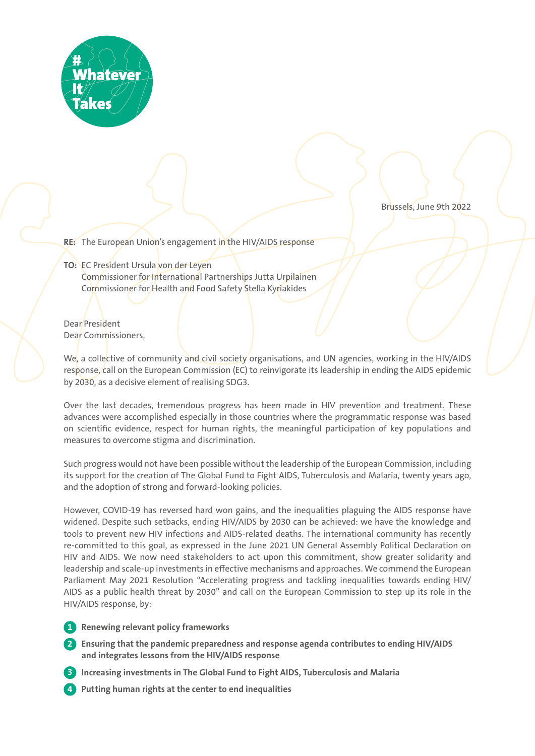

Brussels, June 9th 2022

**RE:** The European Union's engagement in the HIV/AIDS response

# **TO:** EC President Ursula von der Leyen Commissioner for International Partnerships Jutta Urpilainen Commissioner for Health and Food Safety Stella Kyriakides

Dear President Dear Commissioners,

We, a collective of community and civil society organisations, and UN agencies, working in the HIV/AIDS response, call on the European Commission (EC) to reinvigorate its leadership in ending the AIDS epidemic by 2030, as a decisive element of realising SDG3.

Over the last decades, tremendous progress has been made in HIV prevention and treatment. These advances were accomplished especially in those countries where the programmatic response was based on scientific evidence, respect for human rights, the meaningful participation of key populations and measures to overcome stigma and discrimination.

Such progress would not have been possible without the leadership of the European Commission, including its support for the creation of The Global Fund to Fight AIDS, Tuberculosis and Malaria, twenty years ago, and the adoption of strong and forward-looking policies.

However, COVID-19 has reversed hard won gains, and the inequalities plaguing the AIDS response have widened. Despite such setbacks, ending HIV/AIDS by 2030 can be achieved: we have the knowledge and tools to prevent new HIV infections and AIDS-related deaths. The international community has recently re-committed to this goal, as expressed in the June 2021 UN General Assembly Political Declaration on HIV and AIDS. We now need stakeholders to act upon this commitment, show greater solidarity and leadership and scale-up investments in effective mechanisms and approaches. We commend the European Parliament May 2021 Resolution "Accelerating progress and tackling inequalities towards ending HIV/ AIDS as a public health threat by 2030" and call on the European Commission to step up its role in the HIV/AIDS response, by:

- **1 Renewing relevant policy frameworks**
- **2 Ensuring that the pandemic preparedness and response agenda contributes to ending HIV/AIDS and integrates lessons from the HIV/AIDS response**
- **3 Increasing investments in The Global Fund to Fight AIDS, Tuberculosis and Malaria**
- **4 Putting human rights at the center to end inequalities**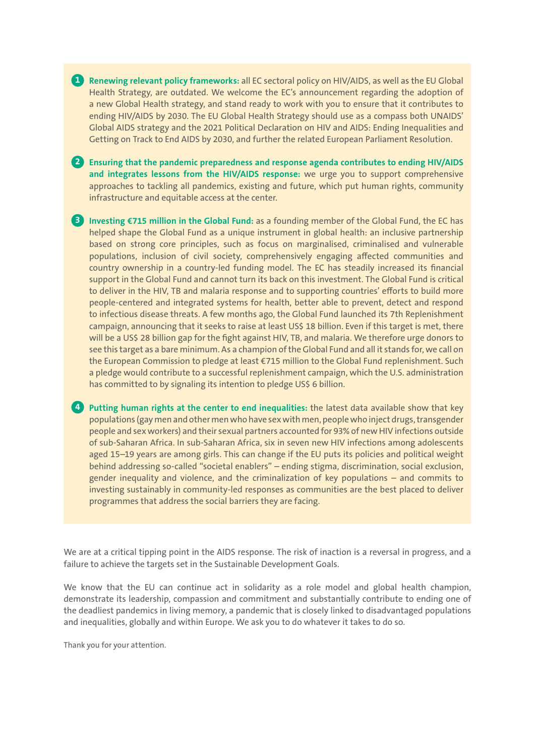**1 Renewing relevant policy frameworks:** all EC sectoral policy on HIV/AIDS, as well as the EU Global Health Strategy, are outdated. We welcome the EC's announcement regarding the adoption of a new Global Health strategy, and stand ready to work with you to ensure that it contributes to ending HIV/AIDS by 2030. The EU Global Health Strategy should use as a compass both UNAIDS' Global AIDS strategy and the 2021 Political Declaration on HIV and AIDS: Ending Inequalities and Getting on Track to End AIDS by 2030, and further the related European Parliament Resolution.

**2 Ensuring that the pandemic preparedness and response agenda contributes to ending HIV/AIDS and integrates lessons from the HIV/AIDS response:** we urge you to support comprehensive approaches to tackling all pandemics, existing and future, which put human rights, community infrastructure and equitable access at the center.

**3 Investing €715 million in the Global Fund:** as a founding member of the Global Fund, the EC has helped shape the Global Fund as a unique instrument in global health: an inclusive partnership based on strong core principles, such as focus on marginalised, criminalised and vulnerable populations, inclusion of civil society, comprehensively engaging affected communities and country ownership in a country-led funding model. The EC has steadily increased its financial support in the Global Fund and cannot turn its back on this investment. The Global Fund is critical to deliver in the HIV, TB and malaria response and to supporting countries' efforts to build more people-centered and integrated systems for health, better able to prevent, detect and respond to infectious disease threats. A few months ago, the Global Fund launched its 7th Replenishment campaign, announcing that it seeks to raise at least US\$ 18 billion. Even if this target is met, there will be a US\$ 28 billion gap for the fight against HIV, TB, and malaria. We therefore urge donors to see this target as a bare minimum. As a champion of the Global Fund and all it stands for, we call on the European Commission to pledge at least €715 million to the Global Fund replenishment. Such a pledge would contribute to a successful replenishment campaign, which the U.S. administration has committed to by signaling its intention to pledge US\$ 6 billion.

**4 Putting human rights at the center to end inequalities:** the latest data available show that key populations (gay men and other men who have sex with men, people who inject drugs, transgender people and sex workers) and their sexual partners accounted for 93% of new HIV infections outside of sub-Saharan Africa. In sub-Saharan Africa, six in seven new HIV infections among adolescents aged 15–19 years are among girls. This can change if the EU puts its policies and political weight behind addressing so-called "societal enablers" – ending stigma, discrimination, social exclusion, gender inequality and violence, and the criminalization of key populations – and commits to investing sustainably in community-led responses as communities are the best placed to deliver programmes that address the social barriers they are facing.

We are at a critical tipping point in the AIDS response. The risk of inaction is a reversal in progress, and a failure to achieve the targets set in the Sustainable Development Goals.

We know that the EU can continue act in solidarity as a role model and global health champion, demonstrate its leadership, compassion and commitment and substantially contribute to ending one of the deadliest pandemics in living memory, a pandemic that is closely linked to disadvantaged populations and inequalities, globally and within Europe. We ask you to do whatever it takes to do so.

Thank you for your attention.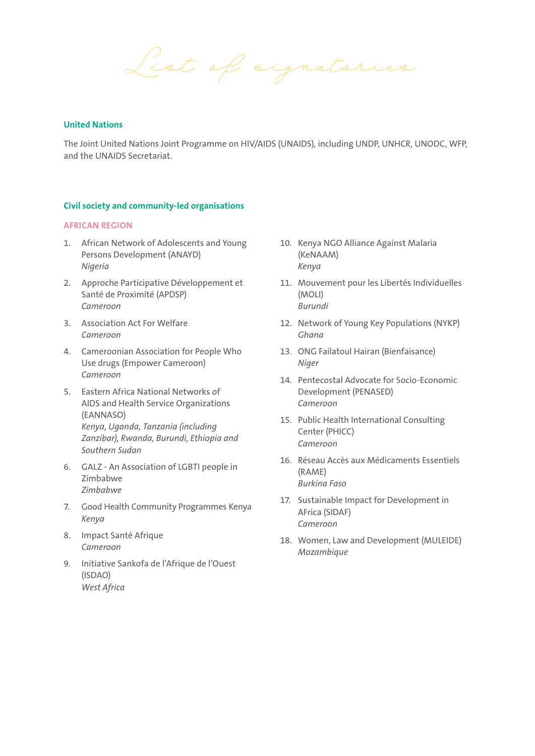*List of signatories*

#### **United Nations**

The Joint United Nations Joint Programme on HIV/AIDS (UNAIDS), including UNDP, UNHCR, UNODC, WFP, and the UNAIDS Secretariat.

#### **Civil society and community-led organisations**

#### **AFRICAN REGION**

- 1. African Network of Adolescents and Young Persons Development (ANAYD) *Nigeria*
- 2. Approche Participative Développement et Santé de Proximité (APDSP) *Cameroon*
- 3. Association Act For Welfare *Cameroon*
- 4. Cameroonian Association for People Who Use drugs (Empower Cameroon) *Cameroon*
- 5. Eastern Africa National Networks of AIDS and Health Service Organizations (EANNASO) *Kenya, Uganda, Tanzania (including Zanzibar), Rwanda, Burundi, Ethiopia and Southern Sudan*
- 6. GALZ An Association of LGBTI people in Zimbabwe *Zimbabwe*
- 7. Good Health Community Programmes Kenya *Kenya*
- 8. Impact Santé Afrique *Cameroon*
- 9. Initiative Sankofa de l'Afrique de l'Ouest (ISDAO) *West Africa*
- 10. Kenya NGO Alliance Against Malaria (KeNAAM) *Kenya*
- 11. Mouvement pour les Libertés Individuelles (MOLI) *Burundi*
- 12. Network of Young Key Populations (NYKP) *Ghana*
- 13. ONG Failatoul Hairan (Bienfaisance) *Niger*
- 14. Pentecostal Advocate for Socio-Economic Development (PENASED) *Cameroon*
- 15. Public Health International Consulting Center (PHICC) *Cameroon*
- 16. Réseau Accès aux Médicaments Essentiels (RAME) *Burkina Faso*
- 17. Sustainable Impact for Development in AFrica (SIDAF) *Cameroon*
- 18. Women, Law and Development (MULEIDE) *Mozambique*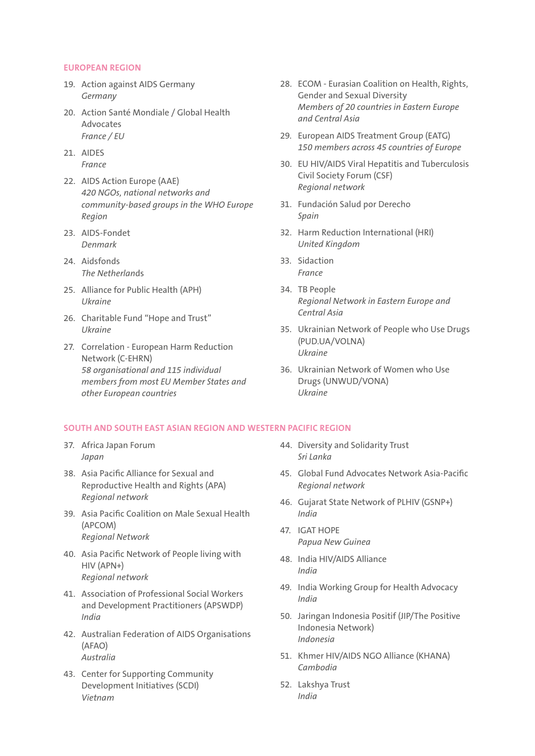#### **EUROPEAN REGION**

- 19. Action against AIDS Germany *Germany*
- 20. Action Santé Mondiale / Global Health Advocates *France / EU*
- 21. AIDES *France*
- 22. AIDS Action Europe (AAE) *420 NGOs, national networks and community-based groups in the WHO Europe Region*
- 23. AIDS-Fondet *Denmark*
- 24. Aidsfonds *The Netherlan*ds
- 25. Alliance for Public Health (APH) *Ukraine*
- 26. Charitable Fund "Hope and Trust" *Ukraine*
- 27. Correlation European Harm Reduction Network (C-EHRN) *58 organisational and 115 individual members from most EU Member States and other European countries*
- 28. ECOM Eurasian Coalition on Health, Rights, Gender and Sexual Diversity *Members of 20 countries in Eastern Europe and Central Asia*
- 29. European AIDS Treatment Group (EATG) *150 members across 45 countries of Europe*
- 30. EU HIV/AIDS Viral Hepatitis and Tuberculosis Civil Society Forum (CSF) *Regional network*
- 31. Fundación Salud por Derecho *Spain*
- 32. Harm Reduction International (HRI) *United Kingdom*
- 33. Sidaction *France*
- 34. TB People *Regional Network in Eastern Europe and Central Asia*
- 35. Ukrainian Network of People who Use Drugs (PUD.UA/VOLNA) *Ukraine*
- 36. Ukrainian Network of Women who Use Drugs (UNWUD/VONA) *Ukraine*

#### **SOUTH AND SOUTH EAST ASIAN REGION AND WESTERN PACIFIC REGION**

- 37. Africa Japan Forum *Japan*
- 38. Asia Pacific Alliance for Sexual and Reproductive Health and Rights (APA) *Regional network*
- 39. Asia Pacific Coalition on Male Sexual Health (APCOM) *Regional Network*
- 40. Asia Pacific Network of People living with HIV (APN+) *Regional network*
- 41. Association of Professional Social Workers and Development Practitioners (APSWDP) *India*
- 42. Australian Federation of AIDS Organisations (AFAO) *Australia*
- 43. Center for Supporting Community Development Initiatives (SCDI) *Vietnam*
- 44. Diversity and Solidarity Trust *Sri Lanka*
- 45. Global Fund Advocates Network Asia-Pacific *Regional network*
- 46. Gujarat State Network of PLHIV (GSNP+) *India*
- 47. IGAT HOPE *Papua New Guinea*
- 48. India HIV/AIDS Alliance *India*
- 49. India Working Group for Health Advocacy *India*
- 50. Jaringan Indonesia Positif (JIP/The Positive Indonesia Network) *Indonesia*
- 51. Khmer HIV/AIDS NGO Alliance (KHANA) *Cambodia*
- 52. Lakshya Trust *India*